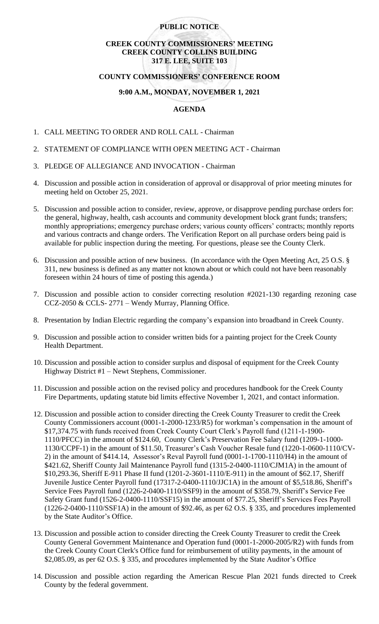## **PUBLIC NOTICE**

# **CREEK COUNTY COMMISSIONERS' MEETING CREEK COUNTY COLLINS BUILDING 317 E. LEE, SUITE 103**

#### **COUNTY COMMISSIONERS' CONFERENCE ROOM**

## **9:00 A.M., MONDAY, NOVEMBER 1, 2021**

## **AGENDA**

- 1. CALL MEETING TO ORDER AND ROLL CALL Chairman
- 2. STATEMENT OF COMPLIANCE WITH OPEN MEETING ACT Chairman
- 3. PLEDGE OF ALLEGIANCE AND INVOCATION Chairman
- 4. Discussion and possible action in consideration of approval or disapproval of prior meeting minutes for meeting held on October 25, 2021.
- 5. Discussion and possible action to consider, review, approve, or disapprove pending purchase orders for: the general, highway, health, cash accounts and community development block grant funds; transfers; monthly appropriations; emergency purchase orders; various county officers' contracts; monthly reports and various contracts and change orders. The Verification Report on all purchase orders being paid is available for public inspection during the meeting. For questions, please see the County Clerk.
- 6. Discussion and possible action of new business. (In accordance with the Open Meeting Act, 25 O.S. § 311, new business is defined as any matter not known about or which could not have been reasonably foreseen within 24 hours of time of posting this agenda.)
- 7. Discussion and possible action to consider correcting resolution #2021-130 regarding rezoning case CCZ-2050 & CCLS- 2771 – Wendy Murray, Planning Office.
- 8. Presentation by Indian Electric regarding the company's expansion into broadband in Creek County.
- 9. Discussion and possible action to consider written bids for a painting project for the Creek County Health Department.
- 10. Discussion and possible action to consider surplus and disposal of equipment for the Creek County Highway District #1 – Newt Stephens, Commissioner.
- 11. Discussion and possible action on the revised policy and procedures handbook for the Creek County Fire Departments, updating statute bid limits effective November 1, 2021, and contact information.
- 12. Discussion and possible action to consider directing the Creek County Treasurer to credit the Creek County Commissioners account (0001-1-2000-1233/R5) for workman's compensation in the amount of \$17,374.75 with funds received from Creek County Court Clerk's Payroll fund (1211-1-1900- 1110/PFCC) in the amount of \$124.60, County Clerk's Preservation Fee Salary fund (1209-1-1000- 1130/CCPF-1) in the amount of \$11.50, Treasurer's Cash Voucher Resale fund (1220-1-0600-1110/CV-2) in the amount of \$414.14, Assessor's Reval Payroll fund (0001-1-1700-1110/H4) in the amount of \$421.62, Sheriff County Jail Maintenance Payroll fund (1315-2-0400-1110/CJM1A) in the amount of \$10,293.36, Sheriff E-911 Phase II fund (1201-2-3601-1110/E-911) in the amount of \$62.17, Sheriff Juvenile Justice Center Payroll fund (17317-2-0400-1110/JJC1A) in the amount of \$5,518.86, Sheriff's Service Fees Payroll fund (1226-2-0400-1110/SSF9) in the amount of \$358.79, Sheriff's Service Fee Safety Grant fund (1526-2-0400-1110/SSF15) in the amount of \$77.25, Sheriff's Services Fees Payroll (1226-2-0400-1110/SSF1A) in the amount of \$92.46, as per 62 O.S. § 335, and procedures implemented by the State Auditor's Office.
- 13. Discussion and possible action to consider directing the Creek County Treasurer to credit the Creek County General Government Maintenance and Operation fund (0001-1-2000-2005/R2) with funds from the Creek County Court Clerk's Office fund for reimbursement of utility payments, in the amount of \$2,085.09, as per 62 O.S. § 335, and procedures implemented by the State Auditor's Office
- 14. Discussion and possible action regarding the American Rescue Plan 2021 funds directed to Creek County by the federal government.